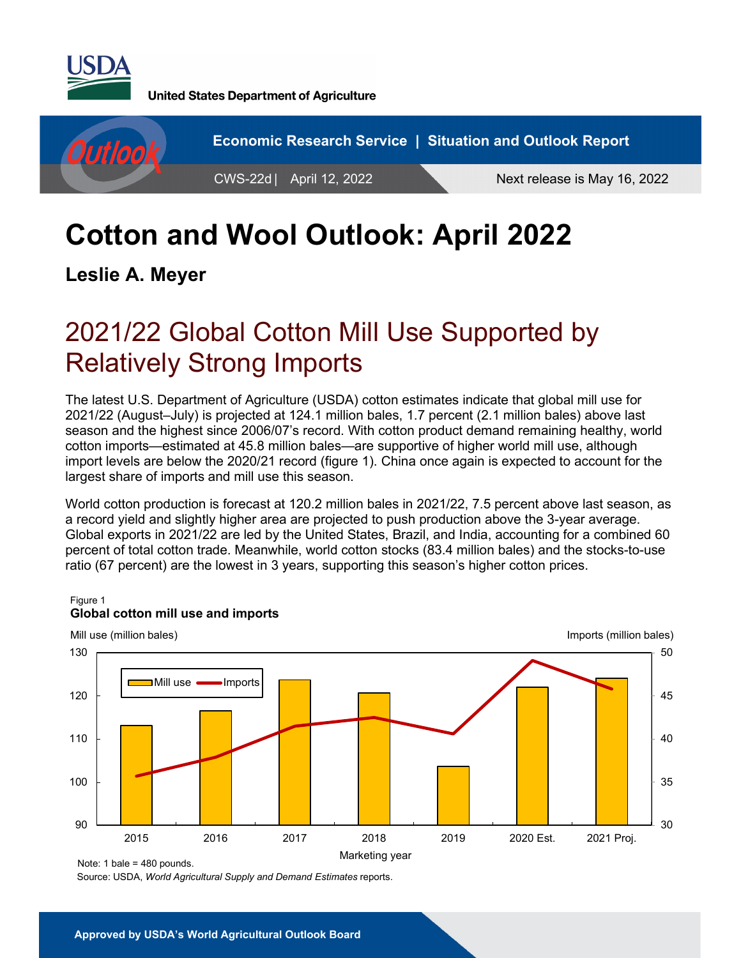

**United States Department of Agriculture** 



# **Cotton and Wool Outlook: April 2022**

**Leslie A. Meyer** 

# 2021/22 Global Cotton Mill Use Supported by Relatively Strong Imports

The latest U.S. Department of Agriculture (USDA) cotton estimates indicate that global mill use for 2021/22 (August–July) is projected at 124.1 million bales, 1.7 percent (2.1 million bales) above last season and the highest since 2006/07's record. With cotton product demand remaining healthy, world cotton imports—estimated at 45.8 million bales—are supportive of higher world mill use, although import levels are below the 2020/21 record (figure 1). China once again is expected to account for the largest share of imports and mill use this season.

World cotton production is forecast at 120.2 million bales in 2021/22, 7.5 percent above last season, as a record yield and slightly higher area are projected to push production above the 3-year average. Global exports in 2021/22 are led by the United States, Brazil, and India, accounting for a combined 60 percent of total cotton trade. Meanwhile, world cotton stocks (83.4 million bales) and the stocks-to-use ratio (67 percent) are the lowest in 3 years, supporting this season's higher cotton prices.



#### Figure 1 **Global cotton mill use and imports**

Source: USDA, *World Agricultural Supply and Demand Estimates* reports.

Note: 1 bale = 480 pounds.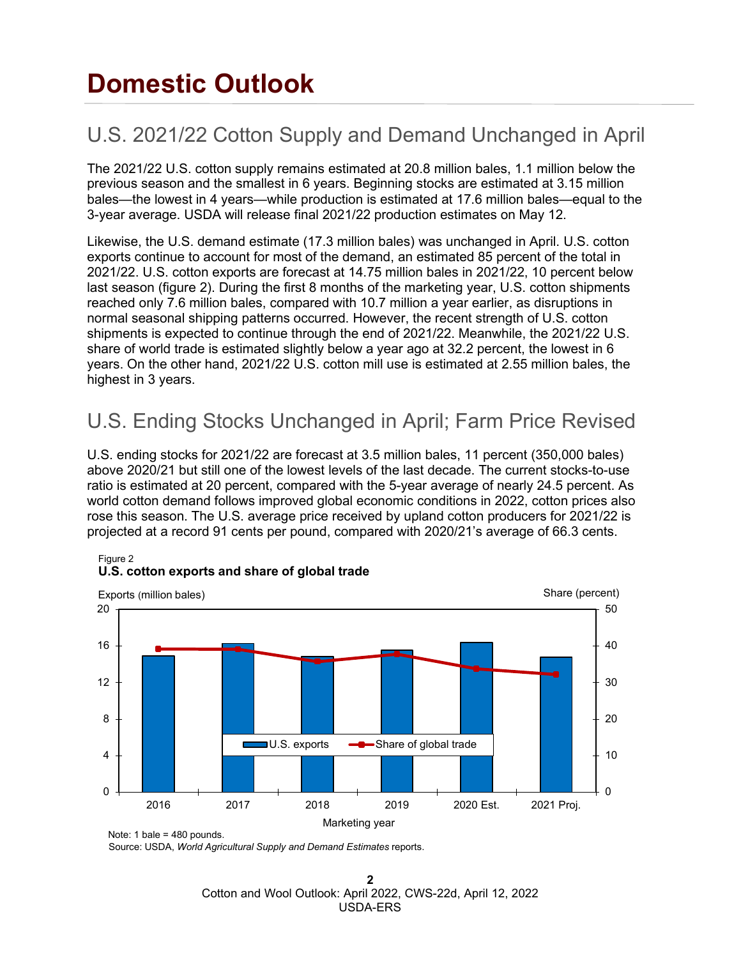# **Domestic Outlook**

# U.S. 2021/22 Cotton Supply and Demand Unchanged in April

The 2021/22 U.S. cotton supply remains estimated at 20.8 million bales, 1.1 million below the previous season and the smallest in 6 years. Beginning stocks are estimated at 3.15 million bales—the lowest in 4 years—while production is estimated at 17.6 million bales—equal to the 3-year average. USDA will release final 2021/22 production estimates on May 12.

Likewise, the U.S. demand estimate (17.3 million bales) was unchanged in April. U.S. cotton exports continue to account for most of the demand, an estimated 85 percent of the total in 2021/22. U.S. cotton exports are forecast at 14.75 million bales in 2021/22, 10 percent below last season (figure 2). During the first 8 months of the marketing year, U.S. cotton shipments reached only 7.6 million bales, compared with 10.7 million a year earlier, as disruptions in normal seasonal shipping patterns occurred. However, the recent strength of U.S. cotton shipments is expected to continue through the end of 2021/22. Meanwhile, the 2021/22 U.S. share of world trade is estimated slightly below a year ago at 32.2 percent, the lowest in 6 years. On the other hand, 2021/22 U.S. cotton mill use is estimated at 2.55 million bales, the highest in 3 years.

## U.S. Ending Stocks Unchanged in April; Farm Price Revised

U.S. ending stocks for 2021/22 are forecast at 3.5 million bales, 11 percent (350,000 bales) above 2020/21 but still one of the lowest levels of the last decade. The current stocks-to-use ratio is estimated at 20 percent, compared with the 5-year average of nearly 24.5 percent. As world cotton demand follows improved global economic conditions in 2022, cotton prices also rose this season. The U.S. average price received by upland cotton producers for 2021/22 is projected at a record 91 cents per pound, compared with 2020/21's average of 66.3 cents.



### **U.S. cotton exports and share of global trade**

Note: 1 bale = 480 pounds.

Figure 2

Source: USDA, *World Agricultural Supply and Demand Estimates* reports.

**2**  Cotton and Wool Outlook: April 2022, CWS-22d, April 12, 2022 USDA-ERS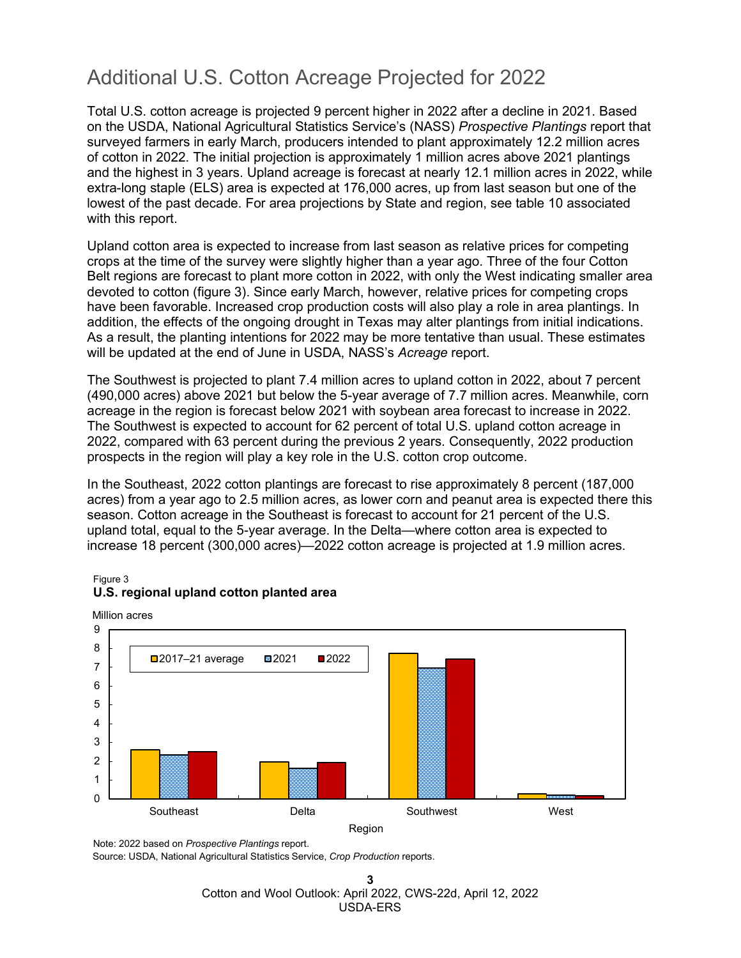## Additional U.S. Cotton Acreage Projected for 2022

Total U.S. cotton acreage is projected 9 percent higher in 2022 after a decline in 2021. Based on the USDA, National Agricultural Statistics Service's (NASS) *Prospective Plantings* report that surveyed farmers in early March, producers intended to plant approximately 12.2 million acres of cotton in 2022. The initial projection is approximately 1 million acres above 2021 plantings and the highest in 3 years. Upland acreage is forecast at nearly 12.1 million acres in 2022, while extra-long staple (ELS) area is expected at 176,000 acres, up from last season but one of the lowest of the past decade. For area projections by State and region, see table 10 associated with this report.

Upland cotton area is expected to increase from last season as relative prices for competing crops at the time of the survey were slightly higher than a year ago. Three of the four Cotton Belt regions are forecast to plant more cotton in 2022, with only the West indicating smaller area devoted to cotton (figure 3). Since early March, however, relative prices for competing crops have been favorable. Increased crop production costs will also play a role in area plantings. In addition, the effects of the ongoing drought in Texas may alter plantings from initial indications. As a result, the planting intentions for 2022 may be more tentative than usual. These estimates will be updated at the end of June in USDA, NASS's *Acreage* report.

The Southwest is projected to plant 7.4 million acres to upland cotton in 2022, about 7 percent (490,000 acres) above 2021 but below the 5-year average of 7.7 million acres. Meanwhile, corn acreage in the region is forecast below 2021 with soybean area forecast to increase in 2022. The Southwest is expected to account for 62 percent of total U.S. upland cotton acreage in 2022, compared with 63 percent during the previous 2 years. Consequently, 2022 production prospects in the region will play a key role in the U.S. cotton crop outcome.

In the Southeast, 2022 cotton plantings are forecast to rise approximately 8 percent (187,000 acres) from a year ago to 2.5 million acres, as lower corn and peanut area is expected there this season. Cotton acreage in the Southeast is forecast to account for 21 percent of the U.S. upland total, equal to the 5-year average. In the Delta—where cotton area is expected to increase 18 percent (300,000 acres)—2022 cotton acreage is projected at 1.9 million acres.



#### Figure 3 **U.S. regional upland cotton planted area**

Note: 2022 based on *Prospective Plantings* report.

Source: USDA, National Agricultural Statistics Service, *Crop Production* reports.

**3** Cotton and Wool Outlook: April 2022, CWS-22d, April 12, 2022 USDA-ERS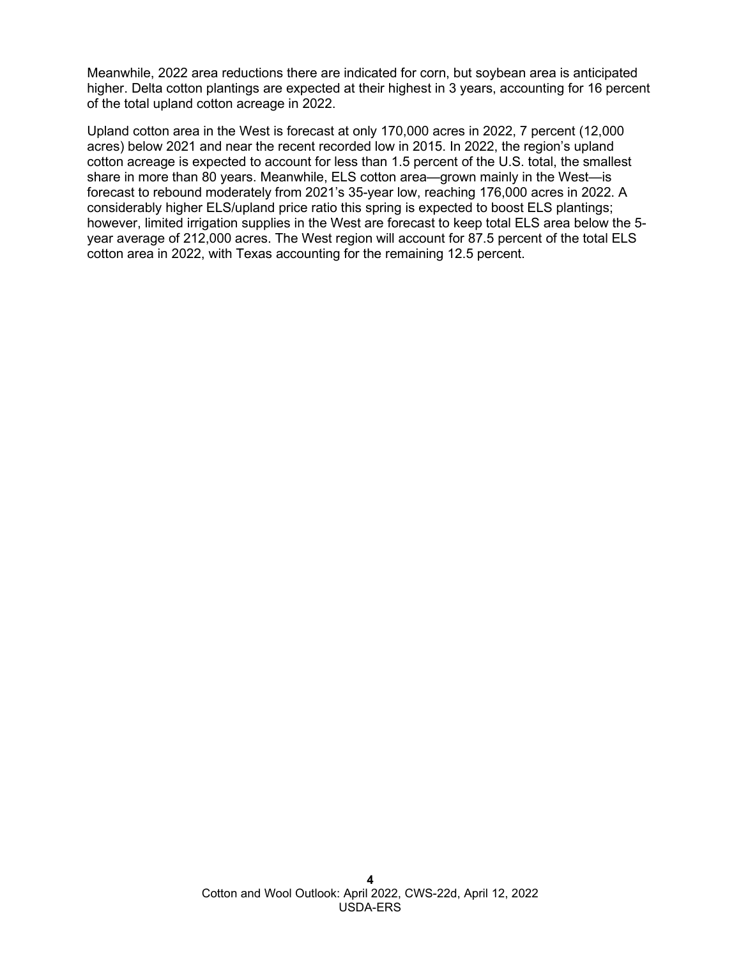Meanwhile, 2022 area reductions there are indicated for corn, but soybean area is anticipated higher. Delta cotton plantings are expected at their highest in 3 years, accounting for 16 percent of the total upland cotton acreage in 2022.

Upland cotton area in the West is forecast at only 170,000 acres in 2022, 7 percent (12,000 acres) below 2021 and near the recent recorded low in 2015. In 2022, the region's upland cotton acreage is expected to account for less than 1.5 percent of the U.S. total, the smallest share in more than 80 years. Meanwhile, ELS cotton area—grown mainly in the West—is forecast to rebound moderately from 2021's 35-year low, reaching 176,000 acres in 2022. A considerably higher ELS/upland price ratio this spring is expected to boost ELS plantings; however, limited irrigation supplies in the West are forecast to keep total ELS area below the 5 year average of 212,000 acres. The West region will account for 87.5 percent of the total ELS cotton area in 2022, with Texas accounting for the remaining 12.5 percent.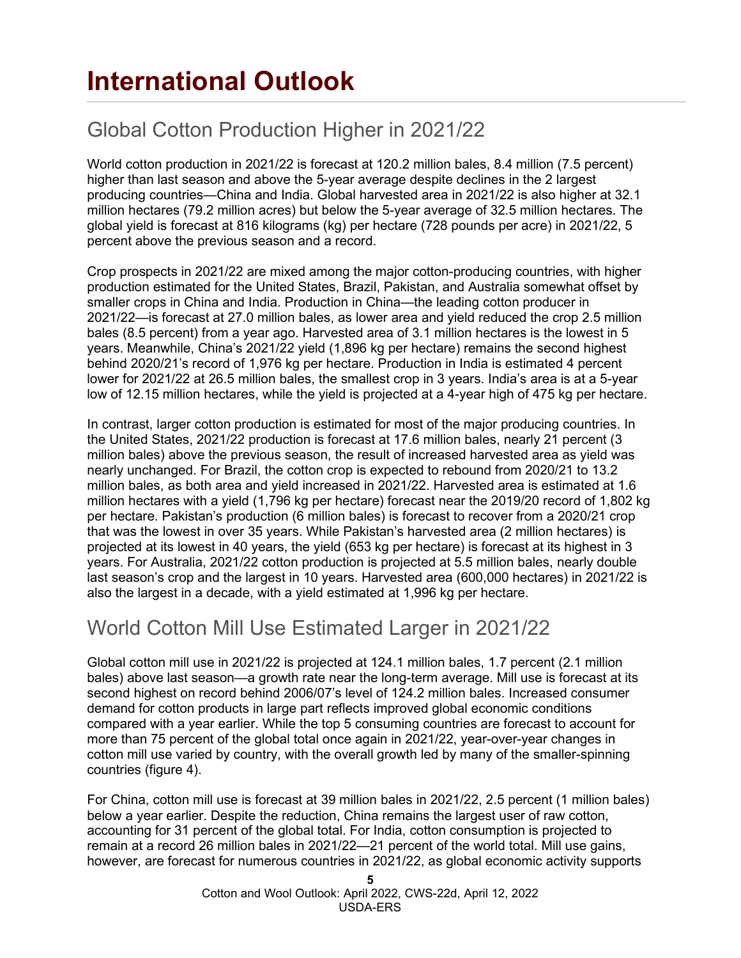# **International Outlook**

# Global Cotton Production Higher in 2021/22

World cotton production in 2021/22 is forecast at 120.2 million bales, 8.4 million (7.5 percent) higher than last season and above the 5-year average despite declines in the 2 largest producing countries—China and India. Global harvested area in 2021/22 is also higher at 32.1 million hectares (79.2 million acres) but below the 5-year average of 32.5 million hectares. The global yield is forecast at 816 kilograms (kg) per hectare (728 pounds per acre) in 2021/22, 5 percent above the previous season and a record.

Crop prospects in 2021/22 are mixed among the major cotton-producing countries, with higher production estimated for the United States, Brazil, Pakistan, and Australia somewhat offset by smaller crops in China and India. Production in China—the leading cotton producer in 2021/22—is forecast at 27.0 million bales, as lower area and yield reduced the crop 2.5 million bales (8.5 percent) from a year ago. Harvested area of 3.1 million hectares is the lowest in 5 years. Meanwhile, China's 2021/22 yield (1,896 kg per hectare) remains the second highest behind 2020/21's record of 1,976 kg per hectare. Production in India is estimated 4 percent lower for 2021/22 at 26.5 million bales, the smallest crop in 3 years. India's area is at a 5-year low of 12.15 million hectares, while the yield is projected at a 4-year high of 475 kg per hectare.

In contrast, larger cotton production is estimated for most of the major producing countries. In the United States, 2021/22 production is forecast at 17.6 million bales, nearly 21 percent (3 million bales) above the previous season, the result of increased harvested area as yield was nearly unchanged. For Brazil, the cotton crop is expected to rebound from 2020/21 to 13.2 million bales, as both area and yield increased in 2021/22. Harvested area is estimated at 1.6 million hectares with a yield (1,796 kg per hectare) forecast near the 2019/20 record of 1,802 kg per hectare. Pakistan's production (6 million bales) is forecast to recover from a 2020/21 crop that was the lowest in over 35 years. While Pakistan's harvested area (2 million hectares) is projected at its lowest in 40 years, the yield (653 kg per hectare) is forecast at its highest in 3 years. For Australia, 2021/22 cotton production is projected at 5.5 million bales, nearly double last season's crop and the largest in 10 years. Harvested area (600,000 hectares) in 2021/22 is also the largest in a decade, with a yield estimated at 1,996 kg per hectare.

## World Cotton Mill Use Estimated Larger in 2021/22

Global cotton mill use in 2021/22 is projected at 124.1 million bales, 1.7 percent (2.1 million bales) above last season—a growth rate near the long-term average. Mill use is forecast at its second highest on record behind 2006/07's level of 124.2 million bales. Increased consumer demand for cotton products in large part reflects improved global economic conditions compared with a year earlier. While the top 5 consuming countries are forecast to account for more than 75 percent of the global total once again in 2021/22, year-over-year changes in cotton mill use varied by country, with the overall growth led by many of the smaller-spinning countries (figure 4).

For China, cotton mill use is forecast at 39 million bales in 2021/22, 2.5 percent (1 million bales) below a year earlier. Despite the reduction, China remains the largest user of raw cotton, accounting for 31 percent of the global total. For India, cotton consumption is projected to remain at a record 26 million bales in 2021/22—21 percent of the world total. Mill use gains, however, are forecast for numerous countries in 2021/22, as global economic activity supports

> **5** Cotton and Wool Outlook: April 2022, CWS-22d, April 12, 2022 USDA-ERS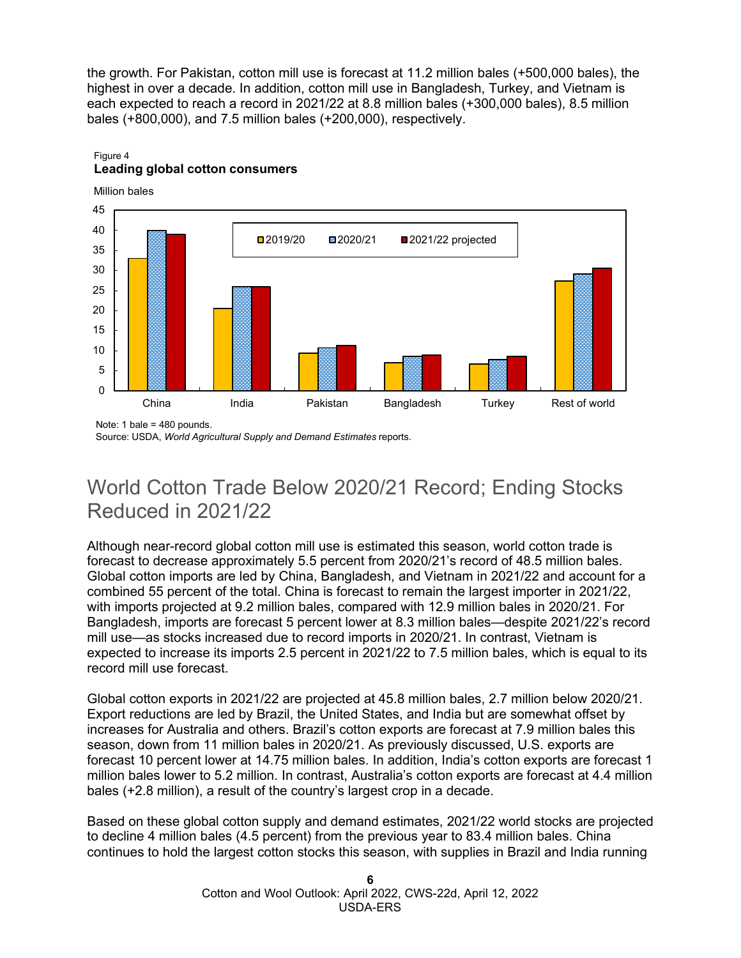the growth. For Pakistan, cotton mill use is forecast at 11.2 million bales (+500,000 bales), the highest in over a decade. In addition, cotton mill use in Bangladesh, Turkey, and Vietnam is each expected to reach a record in 2021/22 at 8.8 million bales (+300,000 bales), 8.5 million bales (+800,000), and 7.5 million bales (+200,000), respectively.

## $\Omega$ 5 10 15 20 25 30 35 40 45 China India Pakistan Bangladesh Turkey Rest of world **□**2019/20 □ 2020/21 □ 2021/22 projected Million bales

#### Figure 4 **Leading global cotton consumers**

Note: 1 bale = 480 pounds.

Source: USDA, *World Agricultural Supply and Demand Estimates* reports.

## World Cotton Trade Below 2020/21 Record; Ending Stocks Reduced in 2021/22

Although near-record global cotton mill use is estimated this season, world cotton trade is forecast to decrease approximately 5.5 percent from 2020/21's record of 48.5 million bales. Global cotton imports are led by China, Bangladesh, and Vietnam in 2021/22 and account for a combined 55 percent of the total. China is forecast to remain the largest importer in 2021/22, with imports projected at 9.2 million bales, compared with 12.9 million bales in 2020/21. For Bangladesh, imports are forecast 5 percent lower at 8.3 million bales—despite 2021/22's record mill use—as stocks increased due to record imports in 2020/21. In contrast, Vietnam is expected to increase its imports 2.5 percent in 2021/22 to 7.5 million bales, which is equal to its record mill use forecast.

Global cotton exports in 2021/22 are projected at 45.8 million bales, 2.7 million below 2020/21. Export reductions are led by Brazil, the United States, and India but are somewhat offset by increases for Australia and others. Brazil's cotton exports are forecast at 7.9 million bales this season, down from 11 million bales in 2020/21. As previously discussed, U.S. exports are forecast 10 percent lower at 14.75 million bales. In addition, India's cotton exports are forecast 1 million bales lower to 5.2 million. In contrast, Australia's cotton exports are forecast at 4.4 million bales (+2.8 million), a result of the country's largest crop in a decade.

Based on these global cotton supply and demand estimates, 2021/22 world stocks are projected to decline 4 million bales (4.5 percent) from the previous year to 83.4 million bales. China continues to hold the largest cotton stocks this season, with supplies in Brazil and India running